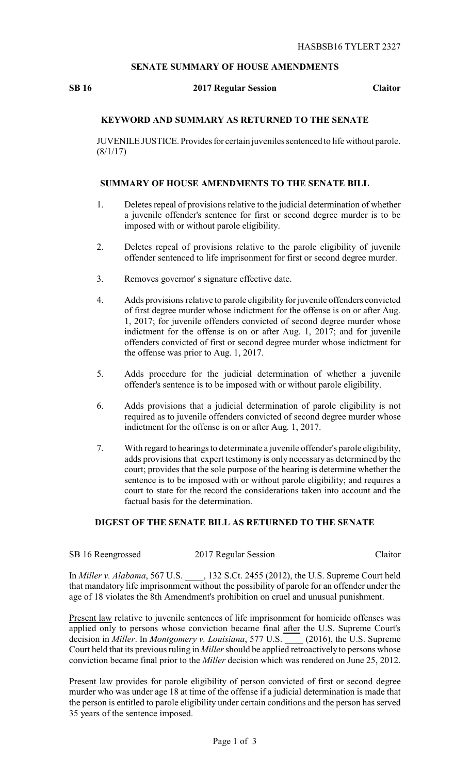## **SENATE SUMMARY OF HOUSE AMENDMENTS**

### **SB 16 2017 Regular Session Claitor**

# **KEYWORD AND SUMMARY AS RETURNED TO THE SENATE**

JUVENILE JUSTICE. Provides for certain juveniles sentenced to life without parole.  $(8/1/17)$ 

### **SUMMARY OF HOUSE AMENDMENTS TO THE SENATE BILL**

- 1. Deletes repeal of provisions relative to the judicial determination of whether a juvenile offender's sentence for first or second degree murder is to be imposed with or without parole eligibility.
- 2. Deletes repeal of provisions relative to the parole eligibility of juvenile offender sentenced to life imprisonment for first or second degree murder.
- 3. Removes governor' s signature effective date.
- 4. Adds provisions relative to parole eligibility for juvenile offenders convicted of first degree murder whose indictment for the offense is on or after Aug. 1, 2017; for juvenile offenders convicted of second degree murder whose indictment for the offense is on or after Aug. 1, 2017; and for juvenile offenders convicted of first or second degree murder whose indictment for the offense was prior to Aug. 1, 2017.
- 5. Adds procedure for the judicial determination of whether a juvenile offender's sentence is to be imposed with or without parole eligibility.
- 6. Adds provisions that a judicial determination of parole eligibility is not required as to juvenile offenders convicted of second degree murder whose indictment for the offense is on or after Aug. 1, 2017.
- 7. With regard to hearings to determinate a juvenile offender's parole eligibility, adds provisions that expert testimony is only necessary as determined by the court; provides that the sole purpose of the hearing is determine whether the sentence is to be imposed with or without parole eligibility; and requires a court to state for the record the considerations taken into account and the factual basis for the determination.

### **DIGEST OF THE SENATE BILL AS RETURNED TO THE SENATE**

| SB 16 Reengrossed | 2017 Regular Session | Claitor |
|-------------------|----------------------|---------|
|-------------------|----------------------|---------|

In *Miller v. Alabama*, 567 U.S. \_\_\_\_, 132 S.Ct. 2455 (2012), the U.S. Supreme Court held that mandatory life imprisonment without the possibility of parole for an offender under the age of 18 violates the 8th Amendment's prohibition on cruel and unusual punishment.

Present law relative to juvenile sentences of life imprisonment for homicide offenses was applied only to persons whose conviction became final after the U.S. Supreme Court's decision in *Miller*. In *Montgomery v. Louisiana*, 577 U.S. \_\_\_\_ (2016), the U.S. Supreme Court held that its previous ruling in *Miller*should be applied retroactively to persons whose conviction became final prior to the *Miller* decision which was rendered on June 25, 2012.

Present law provides for parole eligibility of person convicted of first or second degree murder who was under age 18 at time of the offense if a judicial determination is made that the person is entitled to parole eligibility under certain conditions and the person has served 35 years of the sentence imposed.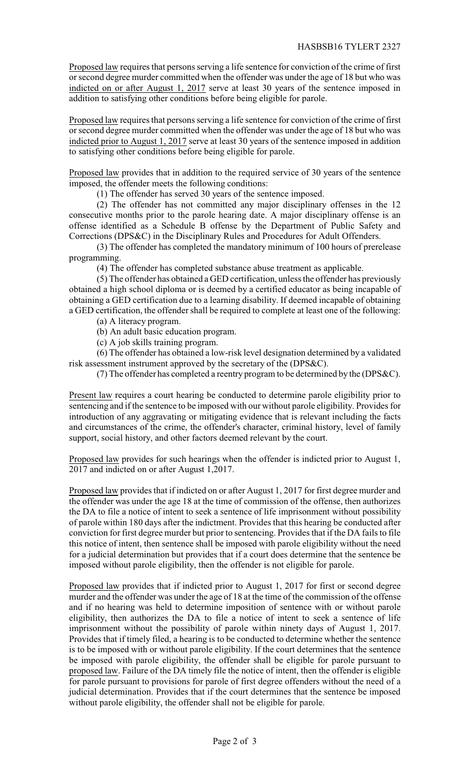Proposed law requires that persons serving a life sentence for conviction of the crime of first or second degree murder committed when the offender was under the age of 18 but who was indicted on or after August 1, 2017 serve at least 30 years of the sentence imposed in addition to satisfying other conditions before being eligible for parole.

Proposed law requires that persons serving a life sentence for conviction of the crime of first or second degree murder committed when the offender was under the age of 18 but who was indicted prior to August 1, 2017 serve at least 30 years of the sentence imposed in addition to satisfying other conditions before being eligible for parole.

Proposed law provides that in addition to the required service of 30 years of the sentence imposed, the offender meets the following conditions:

(1) The offender has served 30 years of the sentence imposed.

(2) The offender has not committed any major disciplinary offenses in the 12 consecutive months prior to the parole hearing date. A major disciplinary offense is an offense identified as a Schedule B offense by the Department of Public Safety and Corrections (DPS&C) in the Disciplinary Rules and Procedures for Adult Offenders.

(3) The offender has completed the mandatory minimum of 100 hours of prerelease programming.

(4) The offender has completed substance abuse treatment as applicable.

(5) The offender has obtained a GED certification, unless the offender has previously obtained a high school diploma or is deemed by a certified educator as being incapable of obtaining a GED certification due to a learning disability. If deemed incapable of obtaining a GED certification, the offender shall be required to complete at least one of the following:

(a) A literacy program.

(b) An adult basic education program.

(c) A job skills training program.

(6) The offender has obtained a low-risk level designation determined by a validated risk assessment instrument approved by the secretary of the (DPS&C).

(7) The offender has completed a reentry program to be determined by the (DPS&C).

Present law requires a court hearing be conducted to determine parole eligibility prior to sentencing and if the sentence to be imposed with our without parole eligibility. Provides for introduction of any aggravating or mitigating evidence that is relevant including the facts and circumstances of the crime, the offender's character, criminal history, level of family support, social history, and other factors deemed relevant by the court.

Proposed law provides for such hearings when the offender is indicted prior to August 1, 2017 and indicted on or after August 1,2017.

Proposed law provides that if indicted on or after August 1, 2017 for first degree murder and the offender was under the age 18 at the time of commission of the offense, then authorizes the DA to file a notice of intent to seek a sentence of life imprisonment without possibility of parole within 180 days after the indictment. Provides that this hearing be conducted after conviction for first degree murder but prior to sentencing. Provides that if the DA fails to file this notice of intent, then sentence shall be imposed with parole eligibility without the need for a judicial determination but provides that if a court does determine that the sentence be imposed without parole eligibility, then the offender is not eligible for parole.

Proposed law provides that if indicted prior to August 1, 2017 for first or second degree murder and the offender was under the age of 18 at the time of the commission of the offense and if no hearing was held to determine imposition of sentence with or without parole eligibility, then authorizes the DA to file a notice of intent to seek a sentence of life imprisonment without the possibility of parole within ninety days of August 1, 2017. Provides that if timely filed, a hearing is to be conducted to determine whether the sentence is to be imposed with or without parole eligibility. If the court determines that the sentence be imposed with parole eligibility, the offender shall be eligible for parole pursuant to proposed law. Failure of the DA timely file the notice of intent, then the offender is eligible for parole pursuant to provisions for parole of first degree offenders without the need of a judicial determination. Provides that if the court determines that the sentence be imposed without parole eligibility, the offender shall not be eligible for parole.